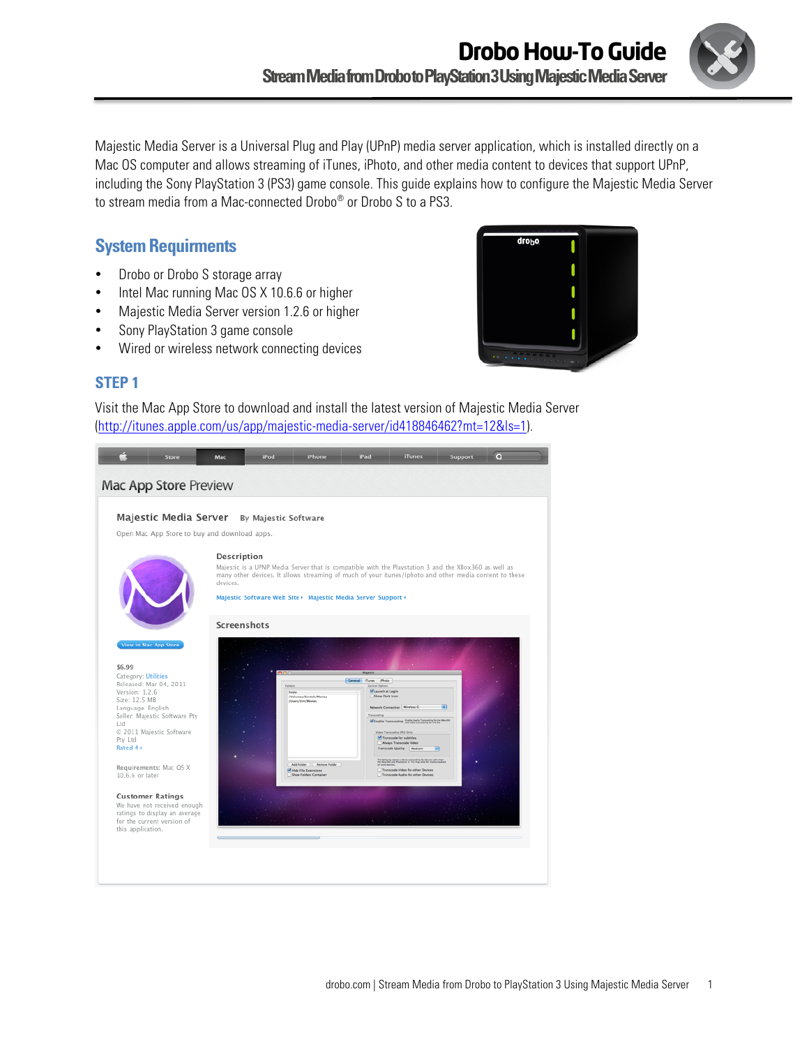

Majestic Media Server is a Universal Plug and Play (UPnP) media server application, which is installed directly on a Mac OS computer and allows streaming of iTunes, iPhoto, and other media content to devices that support UPnP, including the Sony PlayStation 3 (PS3) game console. This guide explains how to configure the Majestic Media Server to stream media from a Mac-connected Drobo® or Drobo S to a PS3.

# **System Requirments**

- Drobo or Drobo S storage array
- Intel Mac running Mac OS X 10.6.6 or higher
- Majestic Media Server version 1.2.6 or higher
- Sony PlayStation 3 game console
- Wired or wireless network connecting devices



### **STEP 1**

Visit the Mac App Store to download and install the latest version of Majestic Media Server (http://itunes.apple.com/us/app/majestic-media-server/id418846462?mt=12&ls=1).

| Store                                                                                                                                                                                                                                                                                                                                                                                                                                 | Mac                     | iPod | <b>iPhone</b>                                                                                                                                                                                                                                                                  | iPad                                                                                                              | <b>iTunes</b>                                                                                                                                                                                                                                                                                                                                                                                                                                    | Support | $\circ$ |
|---------------------------------------------------------------------------------------------------------------------------------------------------------------------------------------------------------------------------------------------------------------------------------------------------------------------------------------------------------------------------------------------------------------------------------------|-------------------------|------|--------------------------------------------------------------------------------------------------------------------------------------------------------------------------------------------------------------------------------------------------------------------------------|-------------------------------------------------------------------------------------------------------------------|--------------------------------------------------------------------------------------------------------------------------------------------------------------------------------------------------------------------------------------------------------------------------------------------------------------------------------------------------------------------------------------------------------------------------------------------------|---------|---------|
| Mac App Store Preview                                                                                                                                                                                                                                                                                                                                                                                                                 |                         |      |                                                                                                                                                                                                                                                                                |                                                                                                                   |                                                                                                                                                                                                                                                                                                                                                                                                                                                  |         |         |
|                                                                                                                                                                                                                                                                                                                                                                                                                                       |                         |      |                                                                                                                                                                                                                                                                                |                                                                                                                   |                                                                                                                                                                                                                                                                                                                                                                                                                                                  |         |         |
| Majestic Media Server By Majestic Software                                                                                                                                                                                                                                                                                                                                                                                            |                         |      |                                                                                                                                                                                                                                                                                |                                                                                                                   |                                                                                                                                                                                                                                                                                                                                                                                                                                                  |         |         |
| Open Mac App Store to buy and download apps.                                                                                                                                                                                                                                                                                                                                                                                          |                         |      |                                                                                                                                                                                                                                                                                |                                                                                                                   |                                                                                                                                                                                                                                                                                                                                                                                                                                                  |         |         |
|                                                                                                                                                                                                                                                                                                                                                                                                                                       |                         |      |                                                                                                                                                                                                                                                                                |                                                                                                                   |                                                                                                                                                                                                                                                                                                                                                                                                                                                  |         |         |
|                                                                                                                                                                                                                                                                                                                                                                                                                                       | Description<br>devices. |      | Majestic is a UPNP Media Server that is compatible with the Playstation 3 and the XBox360 as well as<br>many other devices. It allows streaming of much of your itunes/iphoto and other media content to these<br>Majestic Software Web Site > Majestic Media Server Support > |                                                                                                                   |                                                                                                                                                                                                                                                                                                                                                                                                                                                  |         |         |
|                                                                                                                                                                                                                                                                                                                                                                                                                                       | Screenshots             |      |                                                                                                                                                                                                                                                                                |                                                                                                                   |                                                                                                                                                                                                                                                                                                                                                                                                                                                  |         |         |
| <b>View in Mac App Store</b><br>\$6.99<br>Category: Utilities<br>Released: Mar 04, 2011<br>Version: 1.2.6<br>Size: 12.5 MB<br>Language: English<br>Seller: Majestic Software Pty<br>Ltd<br>© 2011 Majestic Software<br>Pty Ltd<br>Rated 4+<br>Requirements: Mac OS X<br>10.6.6 or later<br><b>Customer Ratings</b><br>We have not received enough<br>ratings to display an average<br>for the current version of<br>this application. |                         |      | /Volumes/Scratch/Movies<br>/Users/tim/Movies<br>Add Folder ) ( Remove Folder )<br><b>PT Hde File Extensions</b><br>Show Folders Container                                                                                                                                      | Majestic<br>Ceneral illunes Photo<br>Ceneral Options<br>M Launch at Legin<br>Show Dock Icon<br><b>Transcoding</b> | Network Connection Wireless C<br>M Enable Transcoding Entre hate Torontop for the Mex301<br>Weles Transcoding (PS3 Onto)<br>Transcode for subtitles<br><b>Always Transcode Video</b><br>Transcode Quality   Medium<br><b>IET</b><br>The following aptions a force transcoding for desires other than<br>the Moos202 and Playmeter 3. This may allow for media playback<br>Transcode Video for other Devices<br>Transcode Audio for other Devices | 中       |         |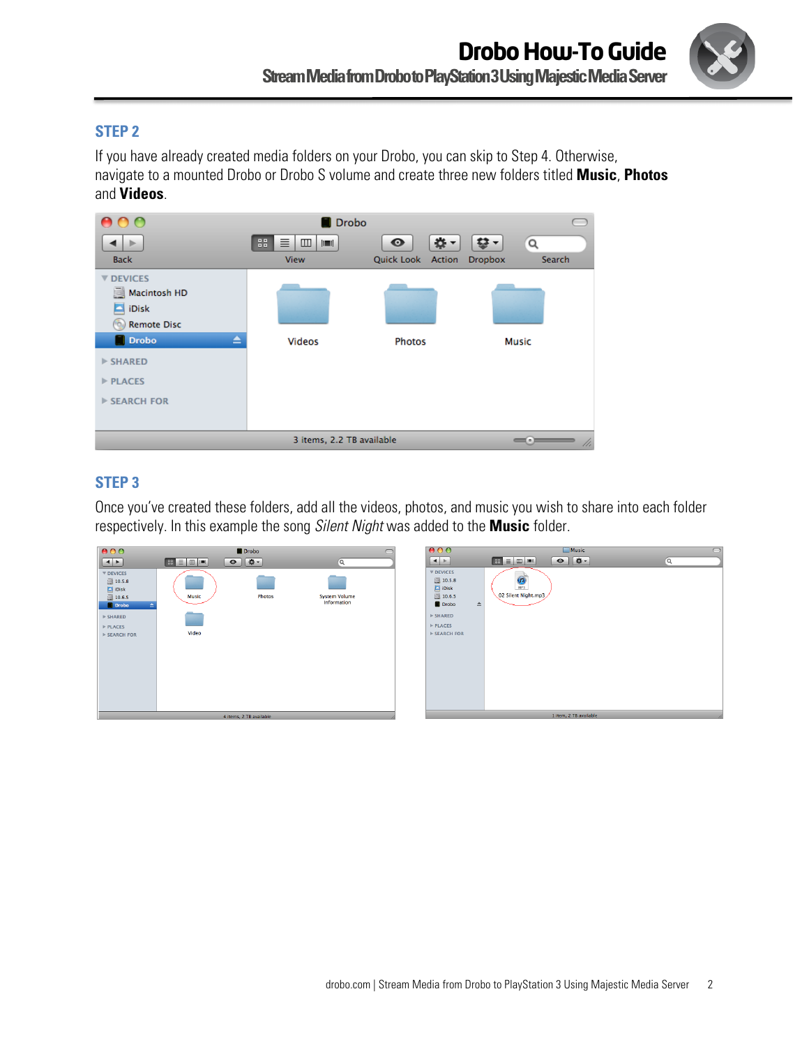

### **STEP 2**

If you have already created media folders on your Drobo, you can skip to Step 4. Otherwise, navigate to a mounted Drobo or Drobo S volume and create three new folders titled **Music**, **Photos**  and **Videos**.

| AA                                            | Drobo                                 |                                                  |                    |  |  |
|-----------------------------------------------|---------------------------------------|--------------------------------------------------|--------------------|--|--|
|                                               | 88<br>目<br>$\Box$<br>$  \mathbf{m}  $ | $\mathbf{u}$ -<br>$\bullet$<br>Quick Look Action | $\frac{1}{2}$<br>Q |  |  |
| <b>Back</b>                                   | View                                  |                                                  | Search<br>Dropbox  |  |  |
| <b>V DEVICES</b><br>Macintosh HD              |                                       |                                                  |                    |  |  |
| E<br>iDisk                                    |                                       |                                                  |                    |  |  |
| <b>Remote Disc</b><br>١ö.                     |                                       |                                                  |                    |  |  |
| <b>Drobo</b><br>≜                             | <b>Videos</b>                         | <b>Photos</b>                                    | <b>Music</b>       |  |  |
| $>$ SHARED                                    |                                       |                                                  |                    |  |  |
| $>$ PLACES                                    |                                       |                                                  |                    |  |  |
| <b>EXERCH FOR</b>                             |                                       |                                                  |                    |  |  |
|                                               |                                       |                                                  |                    |  |  |
| 3 items, 2.2 TB available<br>$- \cdot$<br>11. |                                       |                                                  |                    |  |  |

## **STEP 3**

Once you've created these folders, add all the videos, photos, and music you wish to share into each folder respectively. In this example the song *Silent Night* was added to the **Music** folder.

| 000                                                                                                                                               |                                         | Drobo                    |                                     | 000                                                                                                                               | Music                                                   | $\bigcirc$ |
|---------------------------------------------------------------------------------------------------------------------------------------------------|-----------------------------------------|--------------------------|-------------------------------------|-----------------------------------------------------------------------------------------------------------------------------------|---------------------------------------------------------|------------|
|                                                                                                                                                   | $\boxed{33} \equiv  \text{m}  \equiv  $ | $\boxed{D}$<br>$\bullet$ | $\alpha$                            | $\left  \cdot \right $                                                                                                            | $\bullet$ $\bullet$<br>$\boxed{33} \equiv 2 \pmod{300}$ | $\alpha$   |
| $\nabla$ DEVICES<br>图 10.5.8<br>$\Box$ iDisk<br>10.6.5<br><b>Drobo</b><br>$\triangleright$ SHARED<br>$\triangleright$ PLACES<br><b>EXERCH FOR</b> | <b>Music</b><br>Video                   | <b>Photos</b>            | <b>System Volume</b><br>Information | $\nabla$ DEVICES<br>圓 10.5.8<br>$\Box$ iDisk<br>圓 10.6.5<br>Drobo<br>$\triangle$<br>$>$ SHARED<br>$>$ PLACES<br><b>EXERCH FOR</b> | $\bigcirc$<br>02 Silent Night.mp3                       |            |
|                                                                                                                                                   |                                         |                          |                                     |                                                                                                                                   | 1 item, 2 TB available                                  |            |
| 4 items, 2 TB available                                                                                                                           |                                         |                          |                                     |                                                                                                                                   |                                                         |            |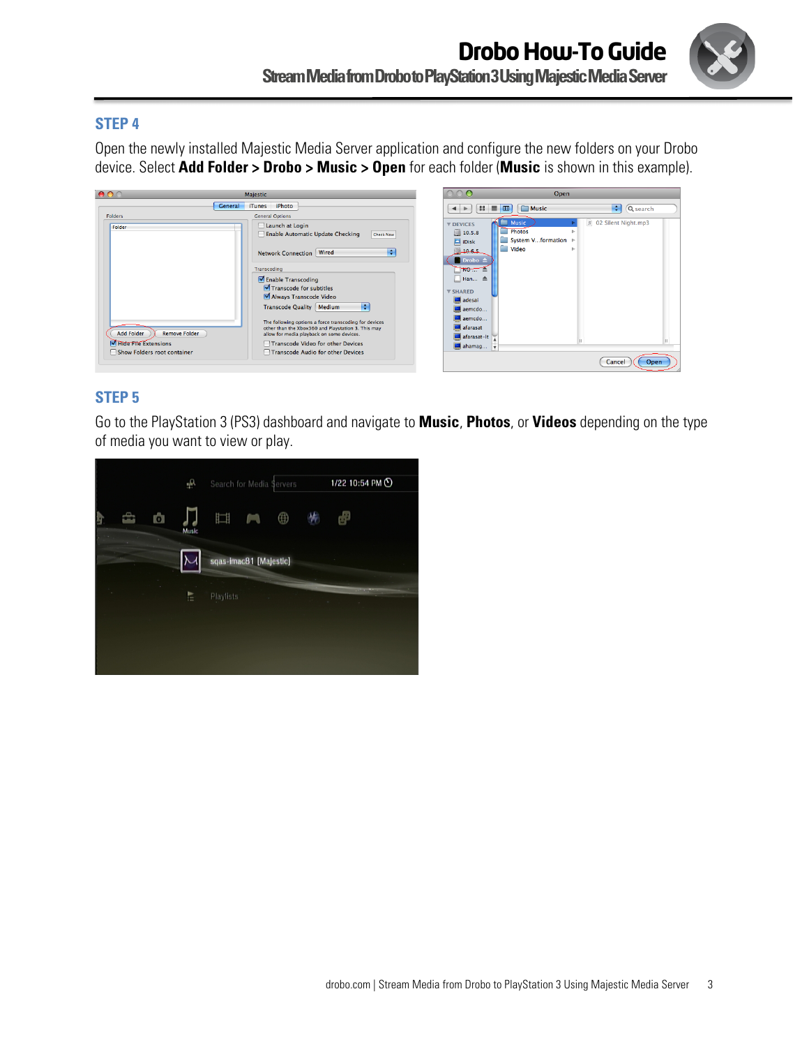

### **STEP 4**

Open the newly installed Majestic Media Server application and configure the new folders on your Drobo device. Select **Add Folder > Drobo > Music > Open** for each folder (**Music** is shown in this example).

| 00                                                                                                         | Majestic                                                                                                                                                                                                                                                                                                                                                                                                                                                               |                                                                                                                                                                                        | Open                                                          |                       |
|------------------------------------------------------------------------------------------------------------|------------------------------------------------------------------------------------------------------------------------------------------------------------------------------------------------------------------------------------------------------------------------------------------------------------------------------------------------------------------------------------------------------------------------------------------------------------------------|----------------------------------------------------------------------------------------------------------------------------------------------------------------------------------------|---------------------------------------------------------------|-----------------------|
| Folders                                                                                                    | iPhoto<br><b>iTunes</b><br><b>General</b><br><b>General Options</b>                                                                                                                                                                                                                                                                                                                                                                                                    | 68<br>$\leftarrow$                                                                                                                                                                     | $\equiv$ m<br><b>Music</b>                                    | ÷<br>Q search         |
| Folder<br><b>Add Folder</b><br><b>Remove Folder</b><br>Hide File Extensions<br>Show Folders root container | Launch at Login<br>Enable Automatic Update Checking<br>Check Now<br>Е<br>Network Connection   Wired<br>Transcoding<br>Enable Transcoding<br>Transcode for subtitles<br>Always Transcode Video<br>÷<br>Transcode Quality   Medium<br>The following options a force transcoding for devices<br>other than the Xbox360 and Playstation 3. This may<br>allow for media playback on some devices.<br>Transcode Video for other Devices<br>Transcode Audio for other Devices | $\nabla$ DEVICES<br>10.5.8<br>$\Box$ iDisk<br>10.6.5<br>$\Box$ Drobo $\triangleq$<br>NO<br>Han A<br>$\nabla$ SHARED<br>adesai<br>aemcdo<br>aemcdo<br>afarasat<br>afarasat-It<br>ahamag | <b>Music</b><br><b>Photos</b><br>System Vformation ><br>Video | ת 02 Silent Night.mp3 |
|                                                                                                            |                                                                                                                                                                                                                                                                                                                                                                                                                                                                        |                                                                                                                                                                                        |                                                               | Op<br>Cancel          |

### **STEP 5**

Go to the PlayStation 3 (PS3) dashboard and navigate to **Music**, **Photos**, or **Videos** depending on the type of media you want to view or play.